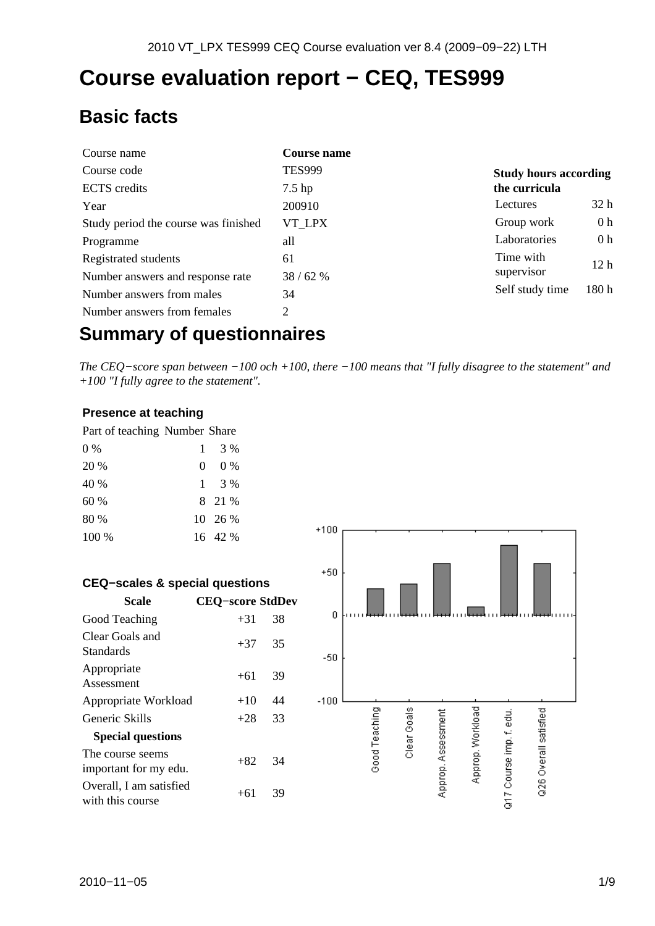# **Course evaluation report − CEQ, TES999**

## **Basic facts**

| Course name                          | <b>Course name</b> |                                |
|--------------------------------------|--------------------|--------------------------------|
| Course code                          | <b>TES999</b>      | <b>Study hours according</b>   |
| <b>ECTS</b> credits                  | $7.5$ hp           | the curricula                  |
| Year                                 | 200910             | 32 <sub>h</sub><br>Lectures    |
| Study period the course was finished | VT LPX             | 0 <sub>h</sub><br>Group work   |
| Programme                            | all                | 0 <sub>h</sub><br>Laboratories |
| Registrated students                 | 61                 | Time with<br>12 <sub>h</sub>   |
| Number answers and response rate     | 38/62%             | supervisor                     |
| Number answers from males            | 34                 | 180h<br>Self study time        |
| Number answers from females          | 2                  |                                |

## **Summary of questionnaires**

*The CEQ−score span between −100 och +100, there −100 means that "I fully disagree to the statement" and +100 "I fully agree to the statement".*

#### **Presence at teaching**

| Part of teaching Number Share |                |
|-------------------------------|----------------|
| $0\%$                         | $1 \t3\%$      |
| 20 %                          | $0\%$<br>0.    |
| 40 %                          | $1 \quad 3\%$  |
| 60%                           | 8 21 %         |
| 80 %                          | $10\quad 26\%$ |
| 100 %                         | 16 42 %        |

| <b>CEQ-scales &amp; special questions</b>   |                         |    |
|---------------------------------------------|-------------------------|----|
| Scale                                       | <b>CEO–score StdDev</b> |    |
| Good Teaching                               | $+31$                   | 38 |
| Clear Goals and<br>Standards                | $+37$                   | 35 |
| Appropriate<br>Assessment                   | $+61$                   | 39 |
| Appropriate Workload                        | $+10$                   | 44 |
| Generic Skills                              | $+28$                   | 33 |
| <b>Special questions</b>                    |                         |    |
| The course seems<br>important for my edu.   | $+82$                   | 34 |
| Overall, I am satisfied<br>with this course | $+61$                   | 39 |

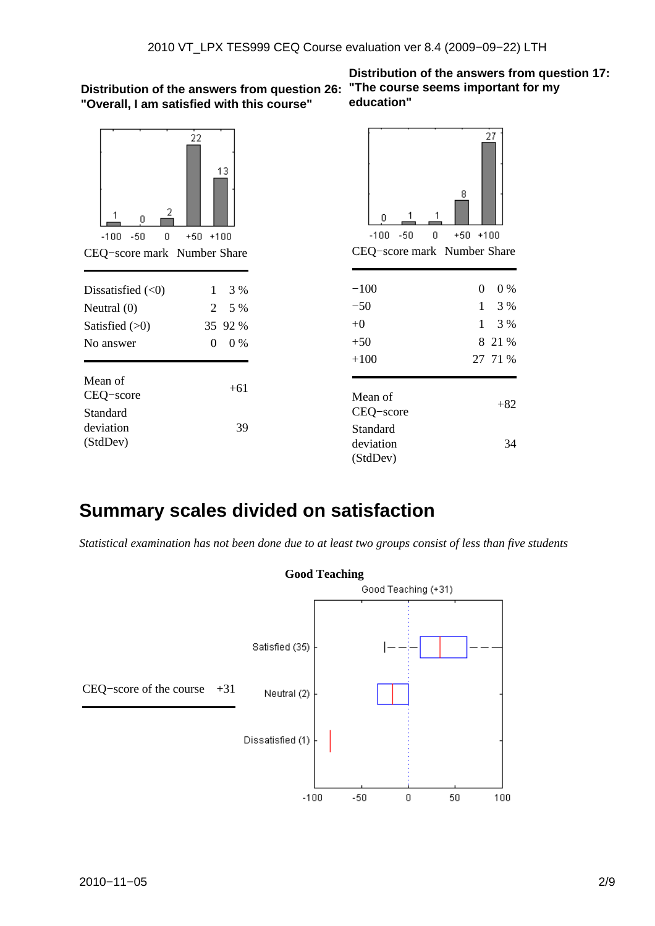#### **Distribution of the answers from question 26: "The course seems important for my "Overall, I am satisfied with this course"**



| Dissatisfied $(\leq 0)$ |          | 3 %       |
|-------------------------|----------|-----------|
| Neutral $(0)$           |          | $2 \t5\%$ |
| Satisfied $(>0)$        |          | 35 92 %   |
| No answer               | $\Omega$ | 0%        |
|                         |          |           |
| Mean of                 |          | $+61$     |
| CEQ-score               |          |           |
| Standard                |          |           |
| deviation               |          | 39        |
| (StdDev)                |          |           |

**Distribution of the answers from question 17: education"**



## **Summary scales divided on satisfaction**

*Statistical examination has not been done due to at least two groups consist of less than five students*

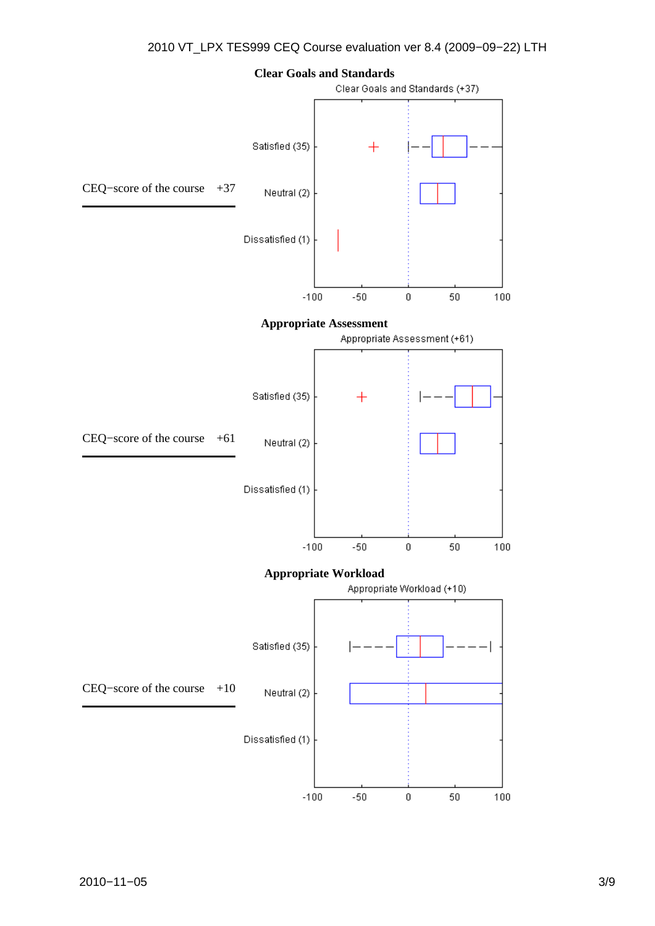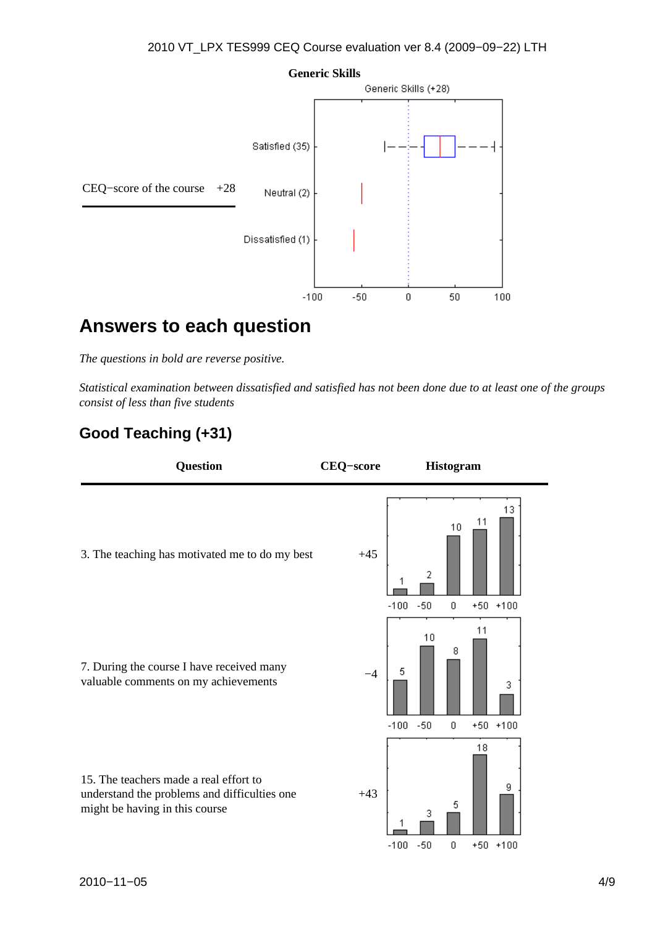

## **Answers to each question**

*The questions in bold are reverse positive.*

*Statistical examination between dissatisfied and satisfied has not been done due to at least one of the groups consist of less than five students*

### **Good Teaching (+31)**

| <b>Question</b>                                                                                                          | <b>CEQ-score</b> | <b>Histogram</b>                                                             |
|--------------------------------------------------------------------------------------------------------------------------|------------------|------------------------------------------------------------------------------|
| 3. The teaching has motivated me to do my best                                                                           | $+45$            | 13<br>11<br>10<br>2<br>$-50$<br>$-100$<br>0<br>$+50$ $+100$                  |
| 7. During the course I have received many<br>valuable comments on my achievements                                        | -4               | 11<br>10<br>8<br>5<br>3<br>$-100$<br>$-50$<br>$\boldsymbol{0}$<br>$+50$ +100 |
| 15. The teachers made a real effort to<br>understand the problems and difficulties one<br>might be having in this course | $+43$            | 18<br>9<br>5<br>3<br>$-50.$<br>-100 -<br>Ω.<br>$+50 +100$                    |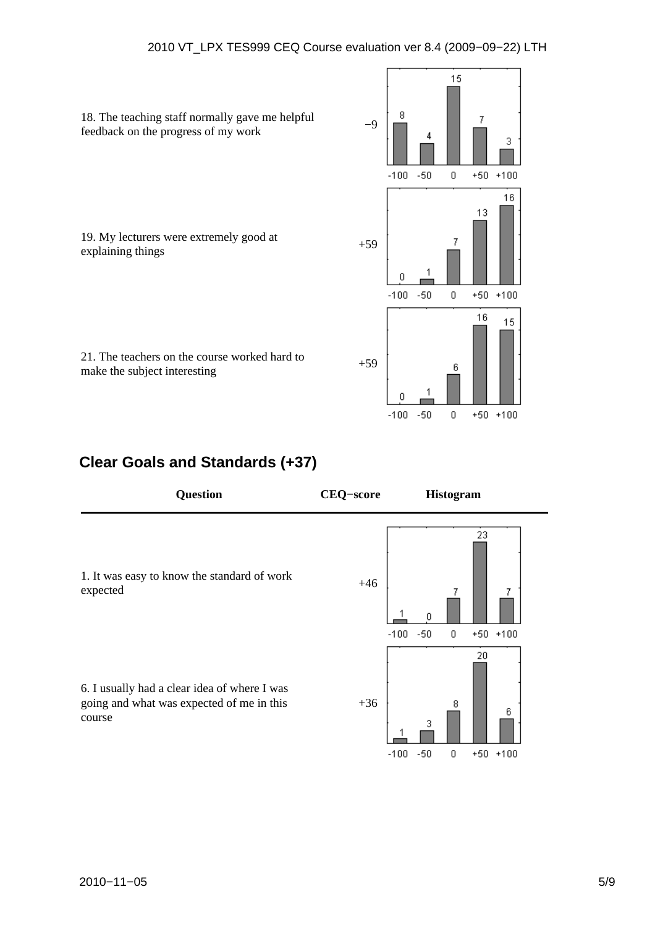

### **Clear Goals and Standards (+37)**

| <b>Question</b>                                                                                     | <b>CEQ-score</b> | <b>Histogram</b>                                          |
|-----------------------------------------------------------------------------------------------------|------------------|-----------------------------------------------------------|
| 1. It was easy to know the standard of work<br>expected                                             | $+46$            | 23<br>7<br>$-50$<br>0<br>$+50$ $+100$<br>$-100$           |
| 6. I usually had a clear idea of where I was<br>going and what was expected of me in this<br>course | $+36$            | 20<br>8<br>6<br>3<br>$-100$<br>$-50$<br>0<br>$+50$ $+100$ |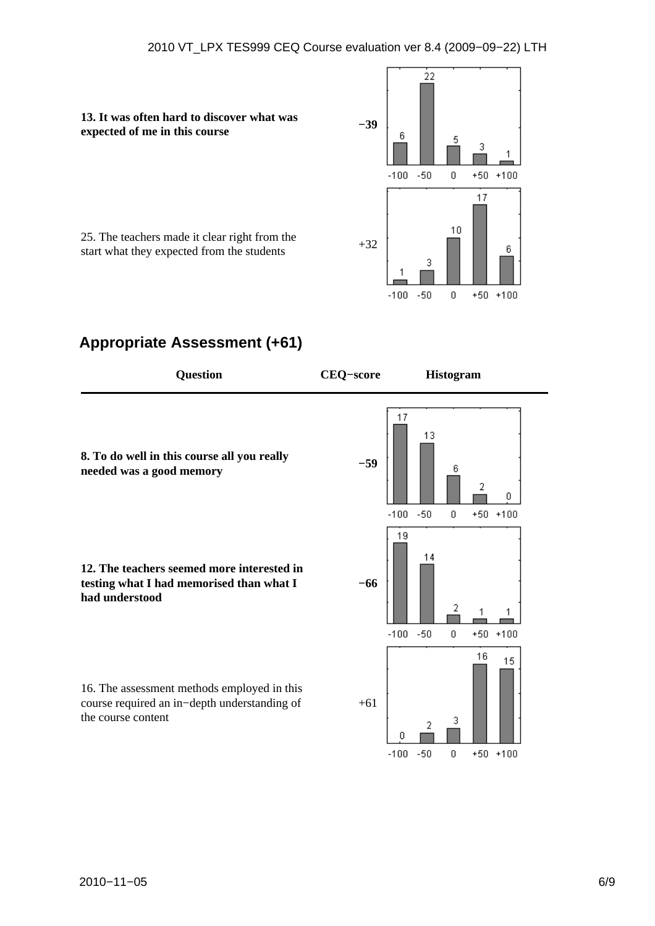**13. It was often hard to discover what was expected of me in this course Fig. 13. It was often hard to urselver** what was  $-39$ 



25. The teachers made it clear right from the  $\frac{25}{32}$  start what they expected from the students  $+32$ 

### **Appropriate Assessment (+61)**

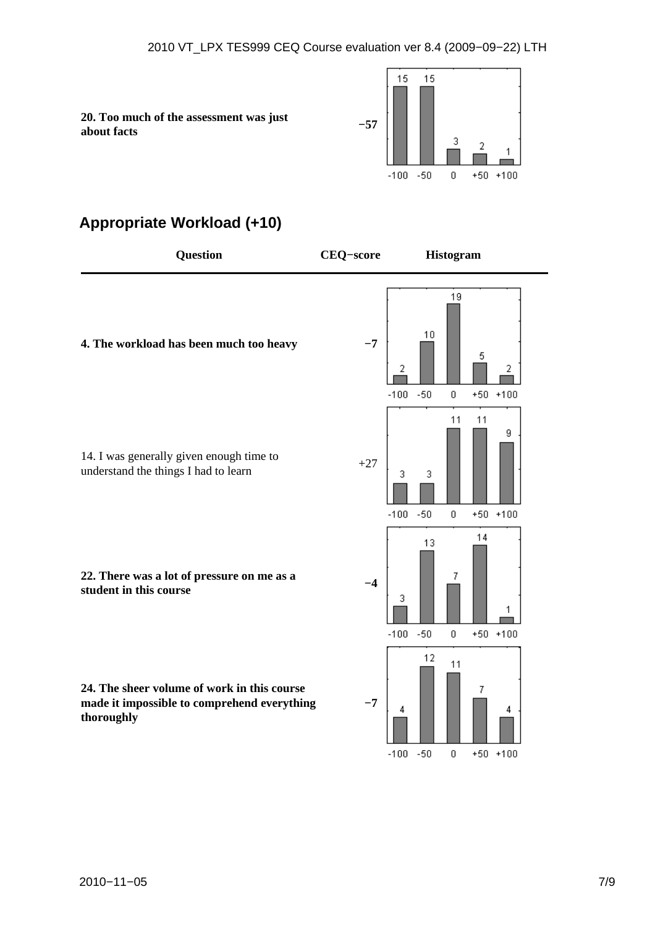**20. Too much of the assessment was just about facts −57** 



### **Appropriate Workload (+10)**

| <b>Question</b>                                                                                          | <b>CEQ-score</b> | <b>Histogram</b>                                                           |
|----------------------------------------------------------------------------------------------------------|------------------|----------------------------------------------------------------------------|
| 4. The workload has been much too heavy                                                                  | $-7$             | 19<br>10<br>5<br>2<br>2<br>$-100 - 50$<br>$\boldsymbol{0}$<br>$+50$ +100   |
| 14. I was generally given enough time to<br>understand the things I had to learn                         | $+27$            | 11<br>11<br>9<br>3<br>3<br>$-100$<br>$-50$<br>$+50$ +100<br>0              |
| 22. There was a lot of pressure on me as a<br>student in this course                                     | $-4$             | 14<br>13<br>7.<br>3<br>$-100$<br>$-50$<br>$\boldsymbol{0}$<br>$+50$ $+100$ |
| 24. The sheer volume of work in this course<br>made it impossible to comprehend everything<br>thoroughly | $-7$             | 12<br>11<br>7<br>4<br>4<br>$-50$<br>0<br>$+50$ +100<br>$-100$              |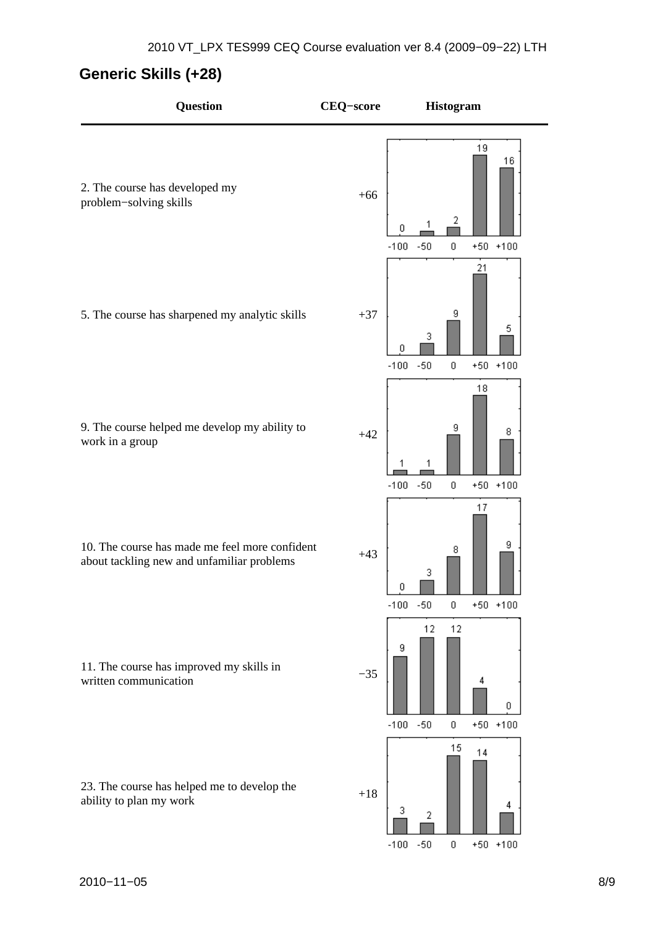## **Generic Skills (+28)**

| Question                                                                                     | <b>CEQ-score</b> | Histogram                                                                    |
|----------------------------------------------------------------------------------------------|------------------|------------------------------------------------------------------------------|
| 2. The course has developed my<br>problem-solving skills                                     | $+66$            | 19<br>16<br>2<br>0<br>$-50$<br>$-100$<br>$\boldsymbol{0}$<br>$+50 + 100$     |
| 5. The course has sharpened my analytic skills                                               | $+37$            | 21<br>9<br>5<br>3<br>0<br>$-50$<br>$-100$<br>$+50 + 100$<br>0                |
| 9. The course helped me develop my ability to<br>work in a group                             | $+42$            | 18<br>9<br>8<br>$-100$<br>$-50$<br>$+50 + 100$<br>0                          |
| 10. The course has made me feel more confident<br>about tackling new and unfamiliar problems | $+43$            | 17<br>9<br>8<br>3<br>U<br>$-100$<br>$-50$<br>0<br>$+50 + 100$                |
| 11. The course has improved my skills in<br>written communication                            | $-35$            | 12<br>12<br>9<br>4<br>0<br>$-100 -$<br>$-50$<br>$\,0\,$<br>$+50$ $+100$      |
| 23. The course has helped me to develop the<br>ability to plan my work                       | $+18$            | 15<br>14<br>4<br>3<br>2<br>$-100$<br>$-50$<br>$\boldsymbol{0}$<br>$+50$ +100 |